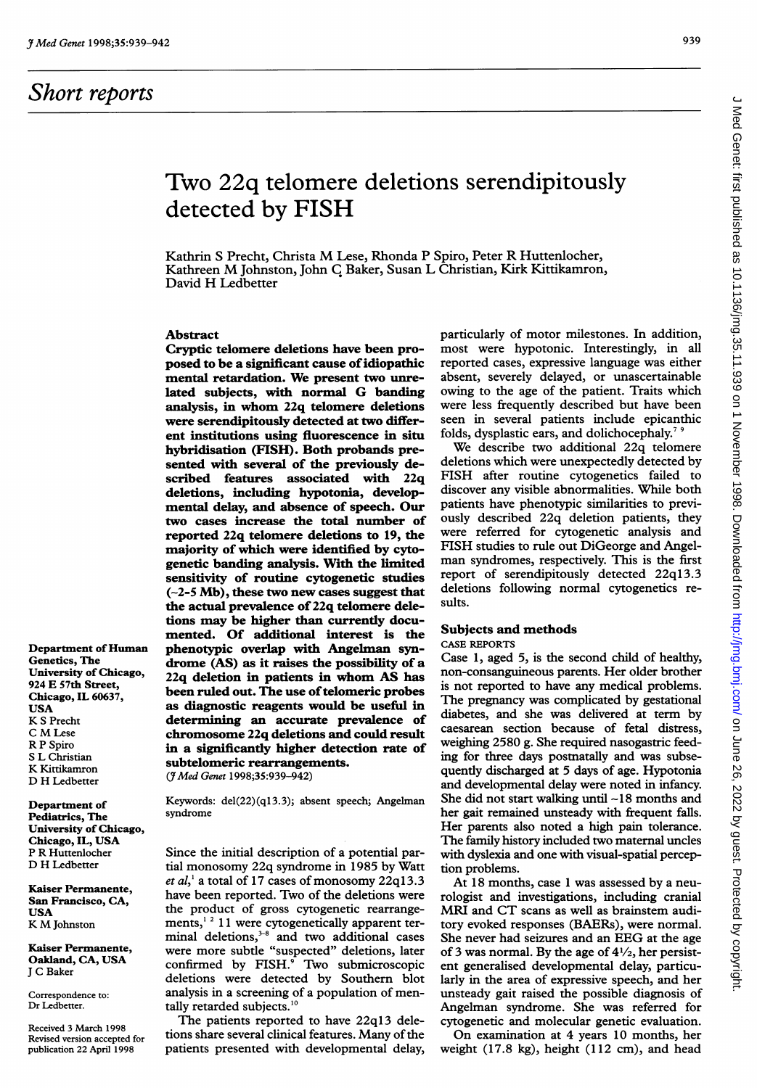## Short reports

#### 939

# Two 22q telomere deletions serendipitously detected by FISH

Kathrin <sup>S</sup> Precht, Christa M Lese, Rhonda <sup>P</sup> Spiro, Peter R Huttenlocher, Kathreen M Johnston, John <sup>C</sup> Baker, Susan <sup>L</sup> Christian, Kirk Kittikamron, David H Ledbetter

## Abstract

Cryptic telomere deletions have been proposed to be a significant cause of idiopathic mental retardation. We present two unrelated subjects, with normal G banding analysis, in whom 22q telomere deletions were serendipitously detected at two different institutions using fluorescence in situ hybridisation (FISH). Both probands presented with several of the previously described features associated with 22q deletions, including hypotonia, developmental delay, and absence of speech. Our two cases increase the total number of reported 22q telomere deletions to 19, the majority of which were identified by cytogenetic banding analysis. With the limited sensitivity of routine cytogenetic studies  $(-2-5$  Mb), these two new cases suggest that the actual prevalence of 22q telomere deletions may be higher than currentiy documented. Of additional interest is the phenotypic overlap with Angelman syndrome (AS) as it raises the possibility of a 22q deletion in patients in whom AS has been ruled out. The use of telomeric probes as diagnostic reagents would be useful in determining an accurate prevalence of chromosome 22q deletions and could result in a significantiy higher detection rate of subtelomeric rearrangements.

(JMed Genet 1998;35:939-942)

Department of Pediatrics, The University of Chicago, Chicago, IL, USA P R Huttenlocher D H Ledbetter

Department of Human Genetics, The University of Chicago, 924 E 57th Street, Chicago, IL 60637,

USA K <sup>S</sup> Precht <sup>C</sup> M Lese R P Spiro S L Christian K Kittikamron D H Ledbetter

Kaiser Permanente, San Francisco, CA, USA K M Johnston

Kaiser Permanente, Oakland, CA, USA <sup>J</sup> C Baker

Correspondence to: Dr Ledbetter.

Received 3 March 1998 Revised version accepted for publication 22 April 1998

Keywords: del(22)(q13.3); absent speech; Angelman syndrome

Since the initial description of a potential partial monosomy 22q syndrome in 1985 by Watt *et al*,<sup>1</sup> a total of 17 cases of monosomy 22q13.3 have been reported. Two of the deletions were the product of gross cytogenetic rearrangements,<sup>12</sup> 11 were cytogenetically apparent terminal deletions," and two additional cases were more subtle "suspected" deletions, later confirmed by FISH.<sup>9</sup> Two submicroscopic deletions were detected by Southern blot analysis in a screening of a population of mentally retarded subjects.<sup>10</sup>

The patients reported to have 22q13 deletions share several clinical features. Many of the patients presented with developmental delay,

particularly of motor milestones. In addition, most were hypotonic. Interestingly, in all reported cases, expressive language was either absent, severely delayed, or unascertainable owing to the age of the patient. Traits which were less frequently described but have been seen in several patients include epicanthic folds, dysplastic ears, and dolichocephaly.<sup>7</sup>

We describe two additional 22q telomere deletions which were unexpectedly detected by FISH after routine cytogenetics failed to discover any visible abnormalities. While both patients have phenotypic similarities to previously described 22q deletion patients, they were referred for cytogenetic analysis and FISH studies to rule out DiGeorge and Angelman syndromes, respectively. This is the first report of serendipitously detected 22q13.3 deletions following normal cytogenetics results.

## Subjects and methods

CASE REPORTS

Case 1, aged 5, is the second child of healthy, non-consanguineous parents. Her older brother is not reported to have any medical problems. The pregnancy was complicated by gestational diabetes, and she was delivered at term by caesarean section because of fetal distress, weighing 2580 g. She required nasogastric feeding for three days postnatally and was subsequently discharged at 5 days of age. Hypotonia and developmental delay were noted in infancy. She did not start walking until  $-18$  months and her gait remained unsteady with frequent falls. Her parents also noted a high pain tolerance. The family history included two matemal uncles with dyslexia and one with visual-spatial perception problems.

At 18 months, case <sup>1</sup> was assessed by a neurologist and investigations, including cranial MRI and CT scans as well as brainstem auditory evoked responses (BAERs), were normal. She never had seizures and an EEG at the age of 3 was normal. By the age of  $4\frac{1}{2}$ , her persistent generalised developmental delay, particularly in the area of expressive speech, and her unsteady gait raised the possible diagnosis of Angelman syndrome. She was referred for cytogenetic and molecular genetic evaluation.

On examination at 4 years 10 months, her weight (17.8 kg), height (112 cm), and head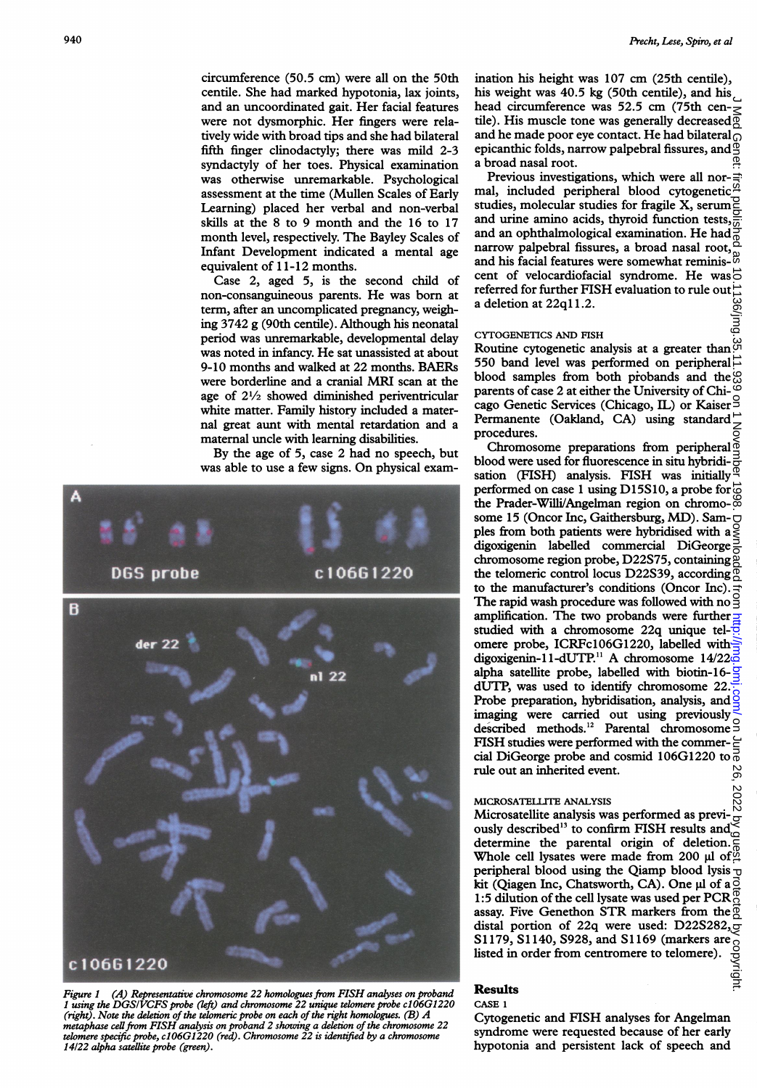(jui

circumference (50.5 cm) were all on the 50th centile. She had marked hypotonia, lax joints, and an uncoordinated gait. Her facial features were not dysmorphic. Her fingers were relatively wide with broad tips and she had bilateral fifth finger clinodactyly; there was mild 2-3 syndactyly of her toes. Physical examination was otherwise unremarkable. Psychological assessment at the time (Mullen Scales of Early Learning) placed her verbal and non-verbal skills at the 8 to 9 month and the 16 to 17 month level, respectively. The Bayley Scales of Infant Development indicated a mental age equivalent of 11-12 months.

Case 2, aged 5, is the second child of non-consanguineous parents. He was born at term, after an uncomplicated pregnancy, weighing 3742 g (90th centile). Although his neonatal period was unremarkable, developmental delay was noted in infancy. He sat unassisted at about 9-10 months and walked at 22 months. BAERs were borderline and <sup>a</sup> cranial MRI scan at the age of  $2\frac{1}{2}$  showed diminished periventricular white matter. Family history included a maternal great aunt with mental retardation and a maternal uncle with learning disabilities.

By the age of 5, case 2 had no speech, but was able to use <sup>a</sup> few signs. On physical exam-



Figure <sup>1</sup> (A) Representative chromosome 22 homologues from FISH analyses on proband <sup>1</sup> using the DGSIVCFS probe (left) and chromosome 22 unique telomere probe c106G1220 (right). Note the deletion of the telomeric probe on each of the right homologues. (B)  $A$ metaphase cell from FISH analysis on proband 2 showing a deletion of the chromosome 22<br>telomere specific probe, c106G1220 (red). Chromosome 22 is identified by a chromosome 14/22 alpha satellite probe (green).

ination his height was 107 cm (25th centile), his weight was 40.5 kg (50th centile), and his head circumference was 52.5 cm (75th centile). His muscle tone was generally decreased  $\overline{Q}$ and he made poor eye contact. He had bilateral epicanthic folds, narrow palpebral fissures, and a broad nasal root.

Previous investigations, which were all normal, included peripheral blood cytogenetic studies, molecular studies for fragile X, serum and urine amino acids, thyroid function tests,  $\frac{\sigma}{\sigma}$ and urine annuo across  $\frac{1}{2}$  and an ophthalmological examination. He had  $\frac{3}{8}$ narrow palpebral fissures, a broad nasal root, and his facial features were somewhat reminiscent of velocardiofacial syndrome. He was  $\vec{\circ}$ referred for further FISH evaluation to rule out  $\vec{=}$ 9g a deletion at 22ql 1.2.

#### CYTOGENETICS AND FISH

Routine cytogenetic analysis at a greater than  $\overset{\omega}{\circ}$ 550 band level was performed on peripheral  $\vec{\triangle}$ blood samples from both probands and the  $\odot$ parents of case 2 at either the University of Chicago Genetic Services (Chicago, IL) or Kaiser<sup>9</sup> Permanente (Oakland, CA) using standard $\vec{\ }$ procedures.

 on June 26, 2022 by guest. Protected by copyright. <http://jmg.bmj.com/> J Med Genet: first published as 10.1136/jmg.35.11.939 on 1 November 1998. Downloaded from Chromosome preparations from peripheral blood were used for fluorescence in situ hybridisation (FISH) analysis. FISH was initially performed on case 1 using D15S10, a probe for  $\vec{\omega}$ the Prader-Willi/Angelman region on chromosome 15 (Oncor Inc, Gaithersburg, MD). Sam- $\bigcirc$ ples from both patients were hybridised with a $\frac{9}{5}$ digoxigenin labelled commercial DiGeorge $\frac{3}{6}$ chromosome region probe, D22S75, containing the telomeric control locus D22S39, according  $\overline{Q}$ to the manufacturer's conditions (Oncor Inc).  $\frac{1}{\sigma}$ The rapid wash procedure was followed with no  $\exists$ amplification. The two probands were further  $\frac{1}{4}$ studied with a chromosome 22q unique tel- $\frac{1}{5}$ omere probe, ICRFc106G1220, labelled withdigoxigenin-11-dUTP.<sup>11</sup> A chromosome  $14/22\overline{d}$ alpha satellite probe, labelled with biotin-16- $\frac{1}{2}$ dUTP, was used to identify chromosome 22. Probe preparation, hybridisation, analysis, and  $\frac{8}{3}$ imaging were carried out using previously described methods.<sup>12</sup> Parental chromosome S FISH studies were performed with the commer- $\epsilon$ cial DiGeorge probe and cosmid 106G1220 to  $\frac{5}{0}$ rule out an inherited event. တ္တ

## MICROSATELLITE ANALYSIS

2022 Microsatellite analysis was performed as previ- $\frac{N}{Q}$ <br>Microsatellite analysis was performed as previously described<sup>13</sup> to confirm FISH results and  $\leq$ determine the parental origin of deletion. Whole cell lysates were made from 200  $\mu$ l of $^{\circ}_{\alpha}$ peripheral blood using the Qiamp blood lysis  $\overline{u}$ kit (Qiagen Inc, Chatsworth, CA). One µl of a $\frac{3}{2}$ 1:5 dilution of the cell lysate was used per PCR assay. Five Genethon STR markers from the distal portion of 22q were used: D22S282, S1179, S1140, S928, and S1169 (markers are listed in order from centromere to telomere).

#### Results

CASE <sup>1</sup>

Cytogenetic and FISH analyses for Angelman syndrome were requested because of her early hypotonia and persistent lack of speech and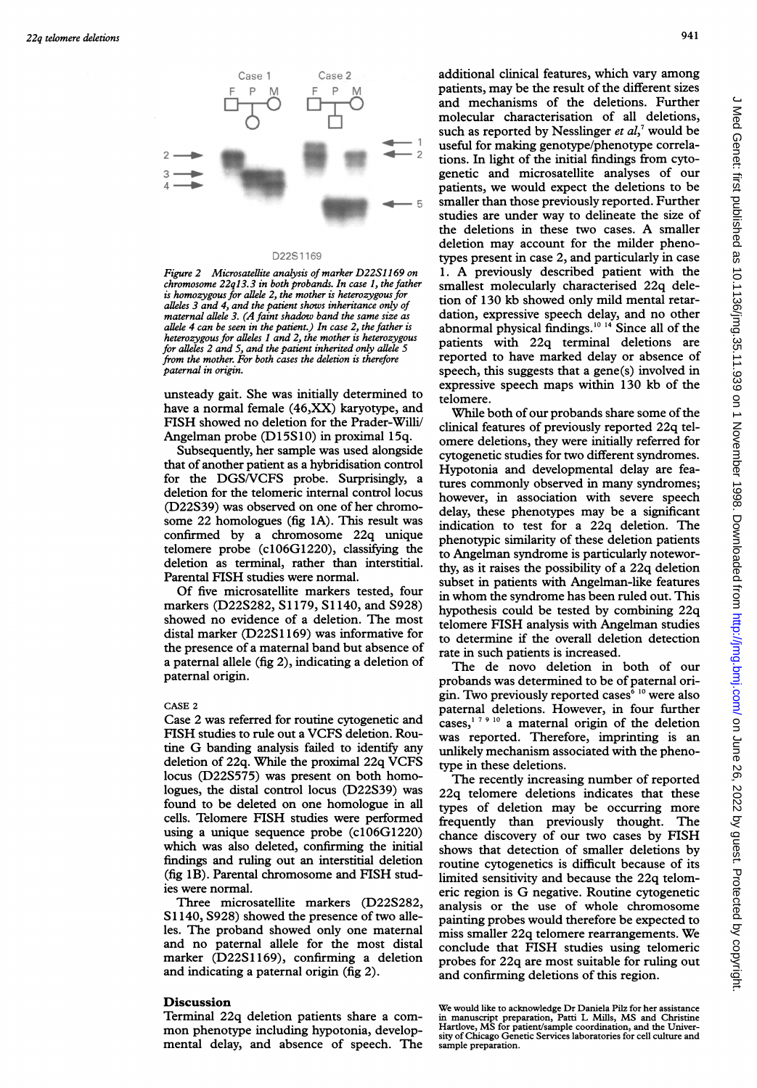

#### D22S1169

Figure 2 Microsatellite analysis of marker D22S1169 on chromosome 22q13.3 in both probands. In case 1, the father  $\frac{\text{small}}{\text{small}}$ <br>is homozygous for allele 2, the mother is heterozygous for . [101000] alleles 3 and 4, and the patient show.<br>maternal allele 3. (A faint shadow b allele 4 can be seen in the patient.) In case 2, the father is heterozygous for alleles 1 and 2, the mother is heterozygous for alleles 2 and 5, and the patient inherited only allele 5 from the mother. For both cases the deletion is therefore paternal in origin.

unsteady gait. She was initially determined to  $t_{\text{refomere}}$ have a normal female (46,XX) karyotype, and FISH showed no deletion for the Prader-Willi/ Angelman probe (D15S10) in proximal 15q.

Subsequently, her sample was used alongside that of another patient as a hybridisation control for the DGS/VCFS probe. Surprisingly, a deletion for the telomeric internal control locus (D22S39) was observed on some 22 homologues (fig  $1A$ ). This result was confirmed by a chromosome 22q unique telomere probe (c106G1220), classifying the deletion as terminal, rather than interstitial. Parental FISH studies were normal.

Of five microsatellite markers tested, four markers (D22S282, S1179, S1140, and S928) showed no evidence of a deletion. The most distal marker (D22S1169) was informative for the presence of a maternal band but absence of a paternal allele (fig 2), indicating a deletion of paternal origin.

### CASE <sup>2</sup>

Case 2 was referred for routine cytogenetic and FISH studies to rule out a VCFS deletion. Routine G banding analysis failed to identify any deletion of 22q. While the proximal 22q VCFS locus (D22S575) was present on both homologues, the distal control locus (D22S39) was found to be deleted on one homologue in all cells. Telomere FISH studies were performed using a unique sequence probe  $(c106G1220)$ which was also deleted, confirming the initial findings and ruling out an interstitial deletion (fig 1B). Parental chromosome and FISH studies were normal.

Three microsatellite markers (D22S282, S1140, S928) showed the presence of two alleles. The proband showed only one maternal and no paternal allele for the most distal marker (D22S1169), confirming a deletion and indicating a paternal origin (fig 2).

## **Discussion**

Terminal 22q deletion patients share <sup>a</sup> common phenotype including hypotonia, developmental delay, and absence of speech. The

Case <sup>2</sup> additional clinical features, which vary among patients, may be the result of the different sizes and mechanisms of the deletions. Further molecular characterisation of all deletions, such as reported by Nesslinger et  $al$ ,<sup>7</sup> would be useful for making genotype/phenotype correlations. In light of the initial findings from cytogenetic and microsatellite analyses of our patients, we would expect the deletions to be smaller than those previously reported. Further studies are under way to delineate the size of the deletions in these two cases. A smaller deletion may account for the milder phenotypes present in case 2, and particularly in case 1. A previously described patient with the smallest molecularly characterised 22q deletion of 130 kb showed only mild mental retardation, expressive speech delay, and no other abnormal physical findings.<sup>10 14</sup> Since all of the patients with 22q terminal deletions are reported to have marked delay or absence of speech, this suggests that a gene(s) involved in expressive speech maps within 130 kb of the

> While both of our probands share some of the clinical features of previously reported 22q telomere deletions, they were initially referred for cytogenetic studies for two different syndromes. Hypotonia and developmental delay are features commonly observed in many syndromes; however, in association with severe speech delay, these phenotypes may be a significant indication to test for a 22q deletion. The phenotypic similarity of these deletion patients to Angelman syndrome is particularly noteworthy, as it raises the possibility of a 22q deletion subset in patients with Angelman-like features in whom the syndrome has been ruled out. This hypothesis could be tested by combining 22q telomere FISH analysis with Angelman studies to determine if the overall deletion detection rate in such patients is increased.

> The de novo deletion in both of our probands was determined to be of paternal origin. Two previously reported cases<sup>6 10</sup> were also paternal deletions. However, in four further cases,<sup>179 10</sup> a maternal origin of the deletion was reported. Therefore, imprinting is an unlikely mechanism associated with the phenotype in these deletions.

> The recently increasing number of reported 22q telomere deletions indicates that these types of deletion may be occurring more frequently than previously thought. The chance discovery of our two cases by FISH shows that detection of smaller deletions by routine cytogenetics is difficult because of its limited sensitivity and because the 22q telomeric region is G negative. Routine cytogenetic analysis or the use of whole chromosome painting probes would therefore be expected to miss smaller 22q telomere rearrangements. We conclude that FISH studies using telomeric probes for 22q are most suitable for ruling out and confirming deletions of this region.